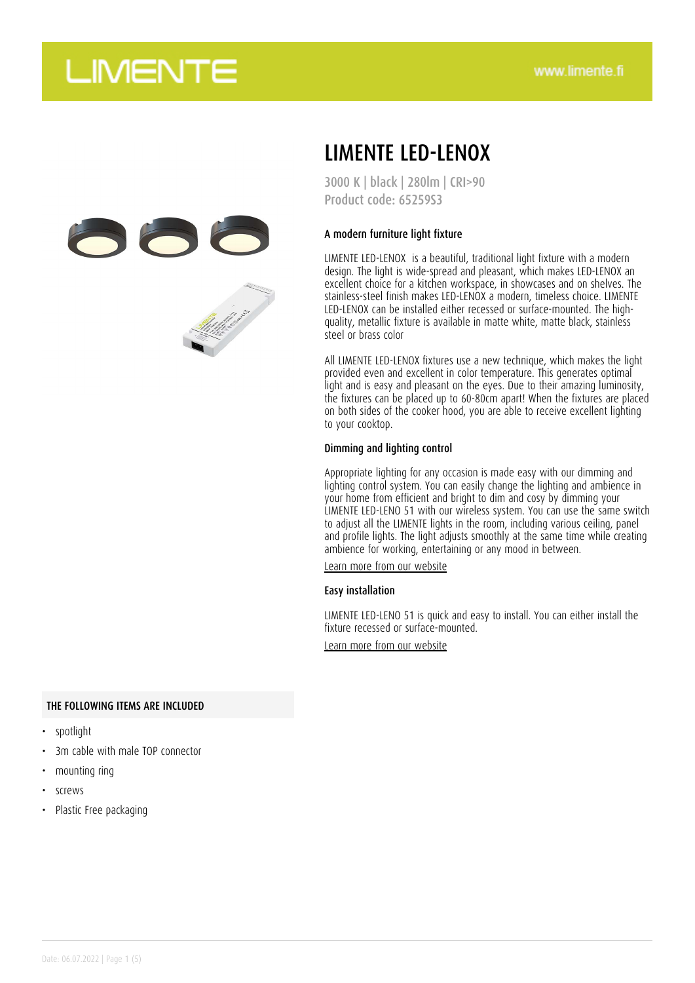

## LIMENTE LED-LENOX

3000 K | black | 280lm | CRI>90 Product code: 65259S3

#### A modern furniture light fixture

LIMENTE LED-LENOX is a beautiful, traditional light fixture with a modern design. The light is wide-spread and pleasant, which makes LED-LENOX an excellent choice for a kitchen workspace, in showcases and on shelves. The stainless-steel finish makes LED-LENOX a modern, timeless choice. LIMENTE LED-LENOX can be installed either recessed or surface-mounted. The highquality, metallic fixture is available in matte white, matte black, stainless steel or brass color

All LIMENTE LED-LENOX fixtures use a new technique, which makes the light provided even and excellent in color temperature. This generates optimal light and is easy and pleasant on the eyes. Due to their amazing luminosity, the fixtures can be placed up to 60-80cm apart! When the fixtures are placed on both sides of the cooker hood, you are able to receive excellent lighting to your cooktop.

#### Dimming and lighting control

Appropriate lighting for any occasion is made easy with our dimming and lighting control system. You can easily change the lighting and ambience in your home from efficient and bright to dim and cosy by dimming your LIMENTE LED-LENO 51 with our wireless system. You can use the same switch to adjust all the LIMENTE lights in the room, including various ceiling, panel and profile lights. The light adjusts smoothly at the same time while creating ambience for working, entertaining or any mood in between.

[Learn more from our website](https://www.limente.fi/tuotteet/65259S3)

#### Easy installation

LIMENTE LED-LENO 51 is quick and easy to install. You can either install the fixture recessed or surface-mounted.

[Learn more from our website](https://www.limente.fi/tuotteet/65259S3)

#### THE FOLLOWING ITEMS ARE INCLUDED

- spotlight
- 3m cable with male TOP connector
- mounting ring
- screws
- Plastic Free packaging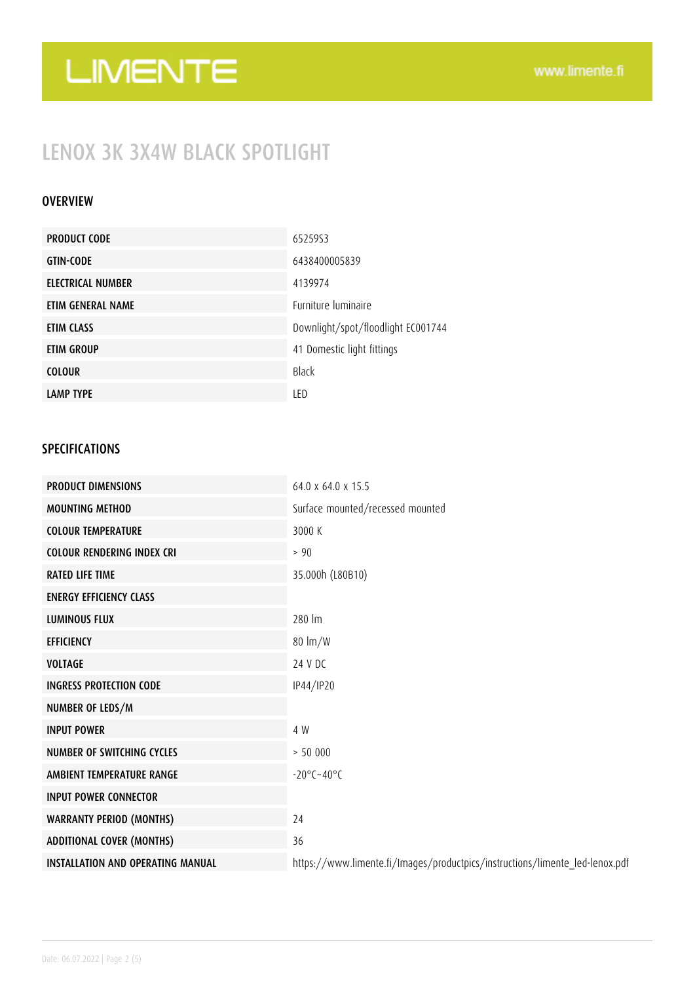### LENOX 3K 3X4W BLACK SPOTLIGHT

### OVERVIEW

| <b>PRODUCT CODE</b> | 65259S3                            |
|---------------------|------------------------------------|
| <b>GTIN-CODE</b>    | 6438400005839                      |
| ELECTRICAL NUMBER   | 4139974                            |
| ETIM GENERAL NAME   | <b>Furniture luminaire</b>         |
| ETIM CLASS          | Downlight/spot/floodlight EC001744 |
| ETIM GROUP          | 41 Domestic light fittings         |
| <b>COLOUR</b>       | <b>Black</b>                       |
| <b>LAMP TYPE</b>    | LED                                |

### SPECIFICATIONS

| <b>PRODUCT DIMENSIONS</b>                | 64.0 x 64.0 x 15.5                                                           |
|------------------------------------------|------------------------------------------------------------------------------|
| <b>MOUNTING METHOD</b>                   | Surface mounted/recessed mounted                                             |
| <b>COLOUR TEMPERATURE</b>                | 3000 K                                                                       |
| <b>COLOUR RENDERING INDEX CRI</b>        | $> 90$                                                                       |
| <b>RATED LIFE TIME</b>                   | 35.000h (L80B10)                                                             |
| <b>ENERGY EFFICIENCY CLASS</b>           |                                                                              |
| <b>LUMINOUS FLUX</b>                     | 280 lm                                                                       |
| <b>EFFICIENCY</b>                        | $80 \text{ lm/W}$                                                            |
| <b>VOLTAGE</b>                           | 24 V DC                                                                      |
| <b>INGRESS PROTECTION CODE</b>           | IP44/IP20                                                                    |
| NUMBER OF LEDS/M                         |                                                                              |
| <b>INPUT POWER</b>                       | 4 W                                                                          |
| <b>NUMBER OF SWITCHING CYCLES</b>        | > 50000                                                                      |
| AMBIENT TEMPERATURE RANGE                | $-20^{\circ}$ C $-40^{\circ}$ C                                              |
| <b>INPUT POWER CONNECTOR</b>             |                                                                              |
| <b>WARRANTY PERIOD (MONTHS)</b>          | 24                                                                           |
| <b>ADDITIONAL COVER (MONTHS)</b>         | 36                                                                           |
| <b>INSTALLATION AND OPERATING MANUAL</b> | https://www.limente.fi/Images/productpics/instructions/limente_led-lenox.pdf |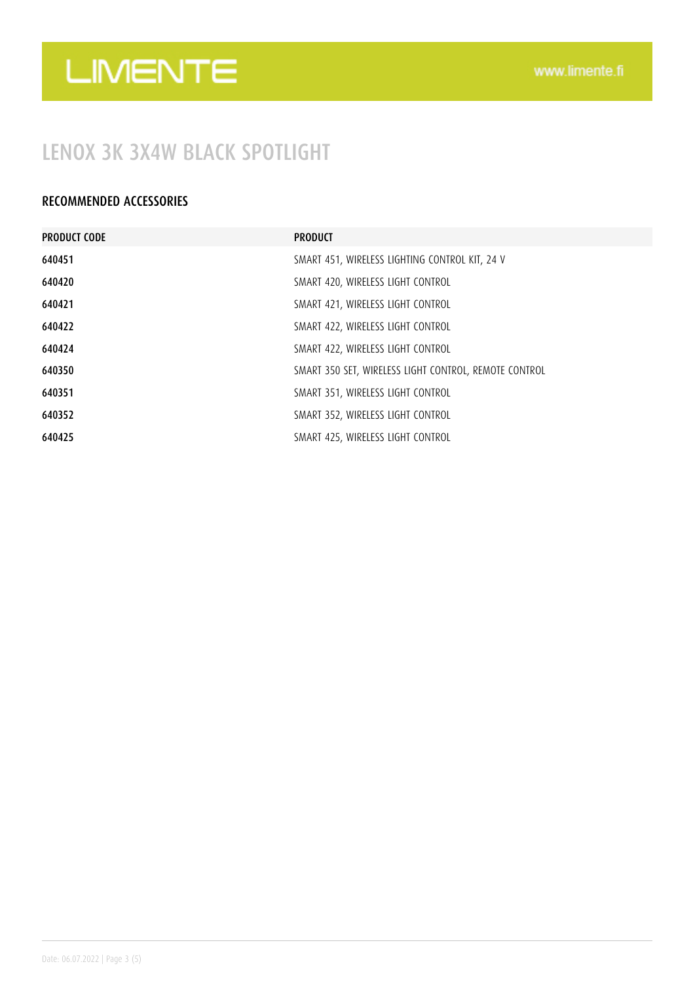### LENOX 3K 3X4W BLACK SPOTLIGHT

### RECOMMENDED ACCESSORIES

| <b>PRODUCT CODE</b> | <b>PRODUCT</b>                                        |
|---------------------|-------------------------------------------------------|
| 640451              | SMART 451, WIRELESS LIGHTING CONTROL KIT, 24 V        |
| 640420              | SMART 420, WIRELESS LIGHT CONTROL                     |
| 640421              | SMART 421, WIRELESS LIGHT CONTROL                     |
| 640422              | SMART 422, WIRELESS LIGHT CONTROL                     |
| 640424              | SMART 422, WIRELESS LIGHT CONTROL                     |
| 640350              | SMART 350 SET, WIRELESS LIGHT CONTROL, REMOTE CONTROL |
| 640351              | SMART 351, WIRELESS LIGHT CONTROL                     |
| 640352              | SMART 352, WIRELESS LIGHT CONTROL                     |
| 640425              | SMART 425, WIRELESS LIGHT CONTROL                     |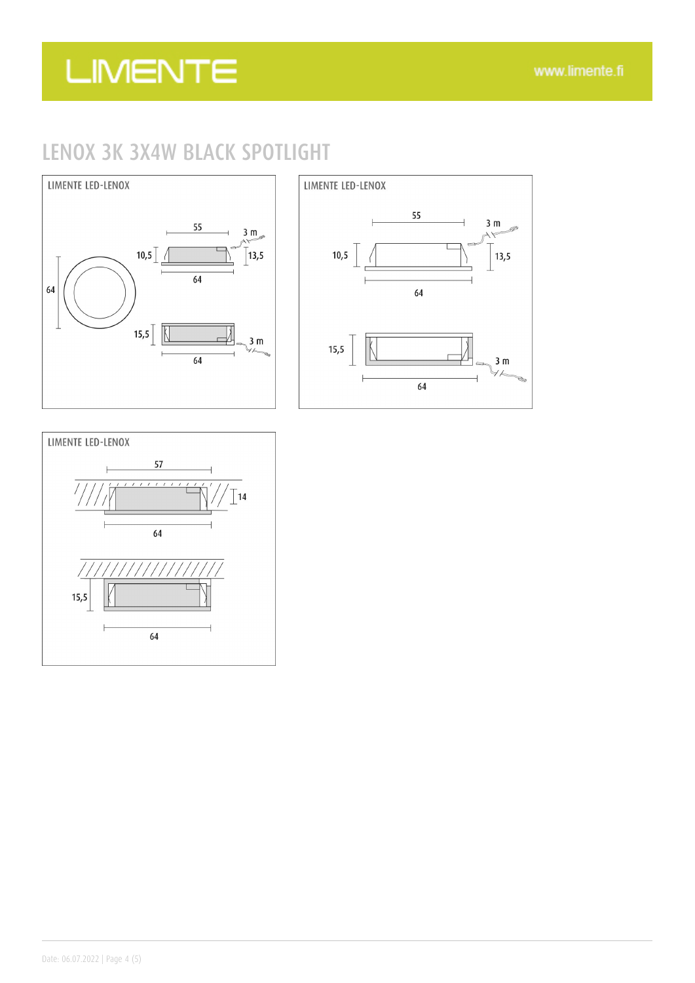### LENOX 3K 3X4W BLACK SPOTLIGHT